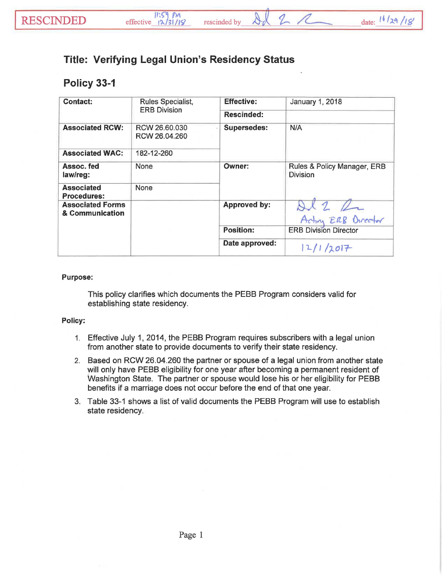## **Title: Verifying Legal Union's Residency Status**

## **Policy 33-1**

| <b>Contact:</b>                            | Rules Specialist,<br><b>ERB Division</b> | <b>Effective:</b>  | January 1, 2018                                |
|--------------------------------------------|------------------------------------------|--------------------|------------------------------------------------|
|                                            |                                          | <b>Rescinded:</b>  |                                                |
| <b>Associated RCW:</b>                     | RCW 26,60,030<br>RCW 26.04.260           | <b>Supersedes:</b> | N/A                                            |
| <b>Associated WAC:</b>                     | 182-12-260                               |                    |                                                |
| Assoc. fed<br>law/reg:                     | None                                     | <b>Owner:</b>      | Rules & Policy Manager, ERB<br><b>Division</b> |
| <b>Associated</b><br><b>Procedures:</b>    | None                                     |                    |                                                |
| <b>Associated Forms</b><br>& Communication |                                          | Approved by:       | $x_{1}$                                        |
|                                            |                                          |                    | Actin ERB Director                             |
|                                            |                                          | <b>Position:</b>   | <b>ERB Division Director</b>                   |
|                                            |                                          | Date approved:     | 12/1/2017                                      |

## Purpose:

This policy clarifies which documents the PEBB Program considers valid for establishing state residency.

## Policy:

- 1. Effective July 1, 2014, the PEBB Program requires subscribers with a legal union from another state to provide documents to verify their state residency.
- 2. Based on RCW 26.04.260 the partner or spouse of a legal union from another state will only have PEBB eligibility for one year after becoming a permanent resident of Washington State. The partner or spouse would lose his or her eligibility for PEBB benefits if a marriage does not occur before the end of that one year.
- 3. Table 33-1 shows a list of valid documents the PEBB Program will use to establish state residency.